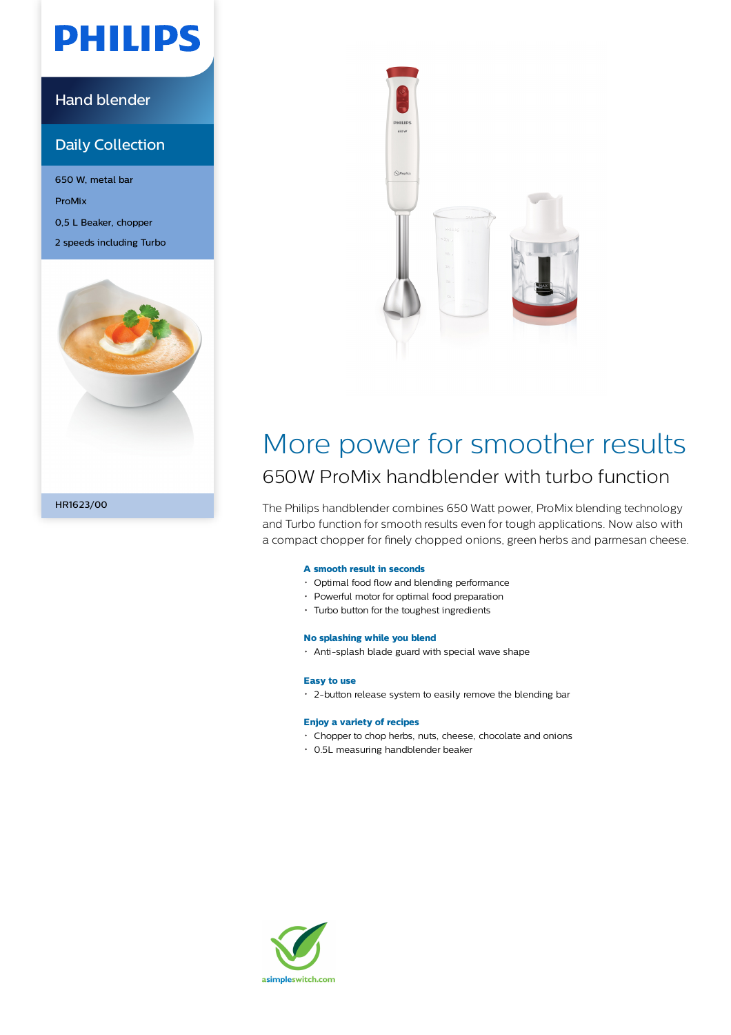# **PHILIPS**

### Hand blender

### Daily Collection

650 W, metal bar ProMix 0,5 L Beaker, chopper 2 speeds including Turbo





### More power for smoother results 650W ProMix handblender with turbo function

The Philips handblender combines 650 Watt power, ProMix blending technology and Turbo function for smooth results even for tough applications. Now also with a compact chopper for finely chopped onions, green herbs and parmesan cheese.

#### **A smooth result in seconds**

- Optimal food flow and blending performance
- Powerful motor for optimal food preparation
- Turbo button for the toughest ingredients

#### **No splashing while you blend**

Anti-splash blade guard with special wave shape

#### **Easy to use**

2-button release system to easily remove the blending bar

#### **Enjoy a variety of recipes**

- Chopper to chop herbs, nuts, cheese, chocolate and onions
- 0.5L measuring handblender beaker

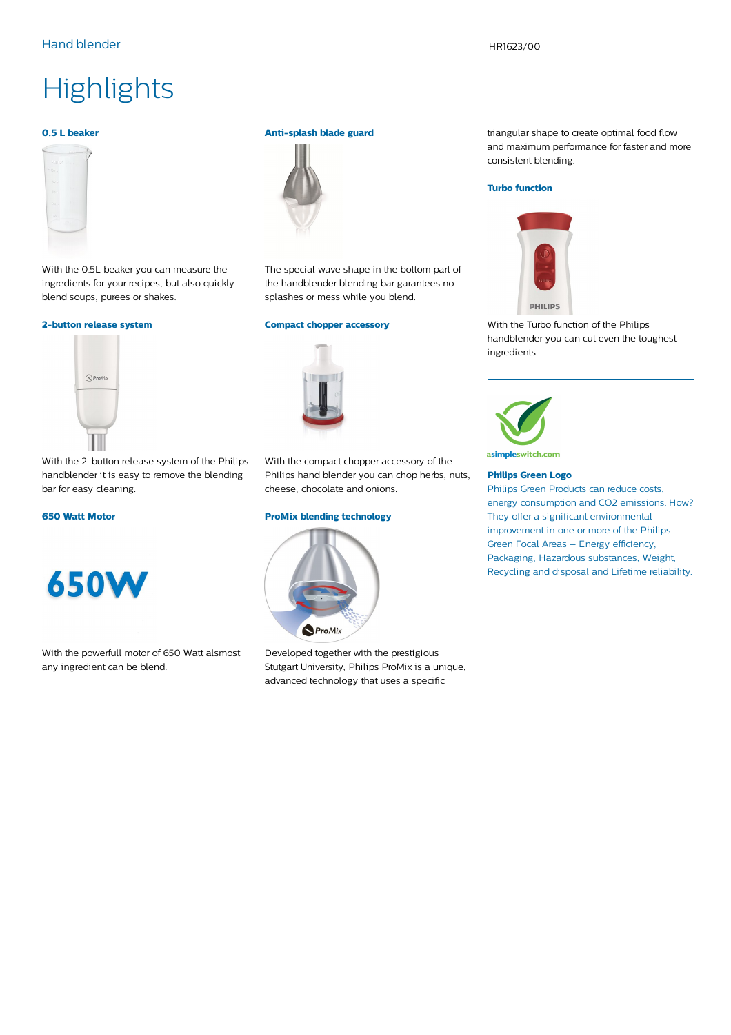#### Hand blender Hand blender Hand blender HR1623/00

## **Highlights**

#### **0.5 L beaker**



With the 0.5L beaker you can measure the ingredients for your recipes, but also quickly blend soups, purees or shakes.

#### **2-button release system**



**Anti-splash blade guard**



The special wave shape in the bottom part of the handblender blending bar garantees no splashes or mess while you blend.

#### **Compact chopper accessory**



With the 2-button release system of the Philips handblender it is easy to remove the blending bar for easy cleaning.

#### **650 Watt Motor**



With the powerfull motor of 650 Watt alsmost any ingredient can be blend.

With the compact chopper accessory of the Philips hand blender you can chop herbs, nuts, cheese, chocolate and onions.

#### **ProMix blending technology**



Developed together with the prestigious Stutgart University, Philips ProMix is a unique, advanced technology that uses a specific

triangular shape to create optimal food flow and maximum performance for faster and more consistent blending.

#### **Turbo function**



With the Turbo function of the Philips handblender you can cut even the toughest ingredients.



asimpleswitch.com

#### **Philips Green Logo**

Philips Green Products can reduce costs, energy consumption and CO2 emissions. How? They offer a significant environmental improvement in one or more of the Philips Green Focal Areas – Energy efficiency, Packaging, Hazardous substances, Weight, Recycling and disposal and Lifetime reliability.